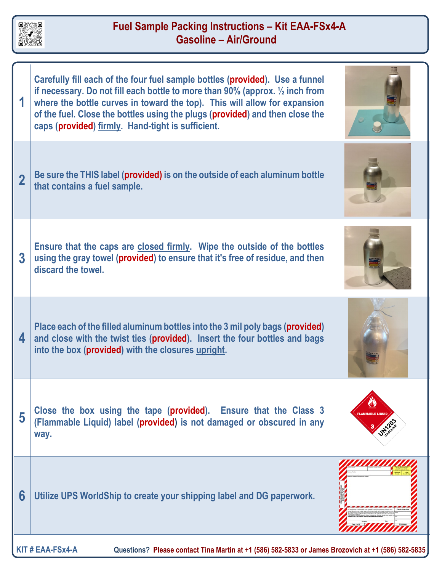

## **Fuel Sample Packing Instructions – Kit EAA-FSx4-A Gasoline – Air/Ground**

|                                                                                                                      | Carefully fill each of the four fuel sample bottles (provided). Use a funnel<br>if necessary. Do not fill each bottle to more than 90% (approx. $\frac{1}{2}$ inch from<br>where the bottle curves in toward the top). This will allow for expansion<br>of the fuel. Close the bottles using the plugs (provided) and then close the<br>caps (provided) firmly. Hand-tight is sufficient. |                       |
|----------------------------------------------------------------------------------------------------------------------|-------------------------------------------------------------------------------------------------------------------------------------------------------------------------------------------------------------------------------------------------------------------------------------------------------------------------------------------------------------------------------------------|-----------------------|
| $\overline{2}$                                                                                                       | Be sure the THIS label (provided) is on the outside of each aluminum bottle<br>that contains a fuel sample.                                                                                                                                                                                                                                                                               |                       |
| $\overline{3}$                                                                                                       | Ensure that the caps are closed firmly. Wipe the outside of the bottles<br>using the gray towel (provided) to ensure that it's free of residue, and then<br>discard the towel.                                                                                                                                                                                                            |                       |
| 4                                                                                                                    | Place each of the filled aluminum bottles into the 3 mil poly bags (provided)<br>and close with the twist ties (provided). Insert the four bottles and bags<br>into the box (provided) with the closures upright.                                                                                                                                                                         |                       |
| 5                                                                                                                    | Close the box using the tape (provided). Ensure that the Class 3<br>(Flammable Liquid) label (provided) is not damaged or obscured in any<br>way.                                                                                                                                                                                                                                         | <b>AMMABLE LIQUII</b> |
| 6                                                                                                                    | Utilize UPS WorldShip to create your shipping label and DG paperwork.                                                                                                                                                                                                                                                                                                                     |                       |
| KIT#EAA-FSx4-A<br>Questions? Please contact Tina Martin at +1 (586) 582-5833 or James Brozovich at +1 (586) 582-5835 |                                                                                                                                                                                                                                                                                                                                                                                           |                       |